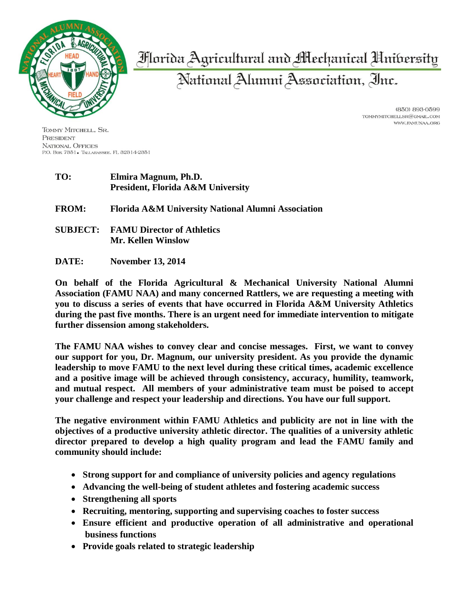

Morida Agricultural and Mechanical Hnibersity

National Alumni Association, Inc.

(850) 893-0599 TOMMYMITCHELLSR@GMAIL.COM WWW.FAMUNAA.ORG

TOMMY MITCHELL, SR. PRESIDENT NATIONAL OFFICES P.O. Box 7351. TALLAHASSEE, FL 32314-2351

- **TO: Elmira Magnum, Ph.D. President, Florida A&M University FROM: Florida A&M University National Alumni Association**
- **SUBJECT: FAMU Director of Athletics Mr. Kellen Winslow**
- **DATE: November 13, 2014**

**On behalf of the Florida Agricultural & Mechanical University National Alumni Association (FAMU NAA) and many concerned Rattlers, we are requesting a meeting with you to discuss a series of events that have occurred in Florida A&M University Athletics during the past five months. There is an urgent need for immediate intervention to mitigate further dissension among stakeholders.**

**The FAMU NAA wishes to convey clear and concise messages. First, we want to convey our support for you, Dr. Magnum, our university president. As you provide the dynamic leadership to move FAMU to the next level during these critical times, academic excellence and a positive image will be achieved through consistency, accuracy, humility, teamwork, and mutual respect. All members of your administrative team must be poised to accept your challenge and respect your leadership and directions. You have our full support.**

**The negative environment within FAMU Athletics and publicity are not in line with the objectives of a productive university athletic director. The qualities of a university athletic director prepared to develop a high quality program and lead the FAMU family and community should include:**

- **Strong support for and compliance of university policies and agency regulations**
- **Advancing the well-being of student athletes and fostering academic success**
- **Strengthening all sports**
- **Recruiting, mentoring, supporting and supervising coaches to foster success**
- **Ensure efficient and productive operation of all administrative and operational business functions**
- **Provide goals related to strategic leadership**